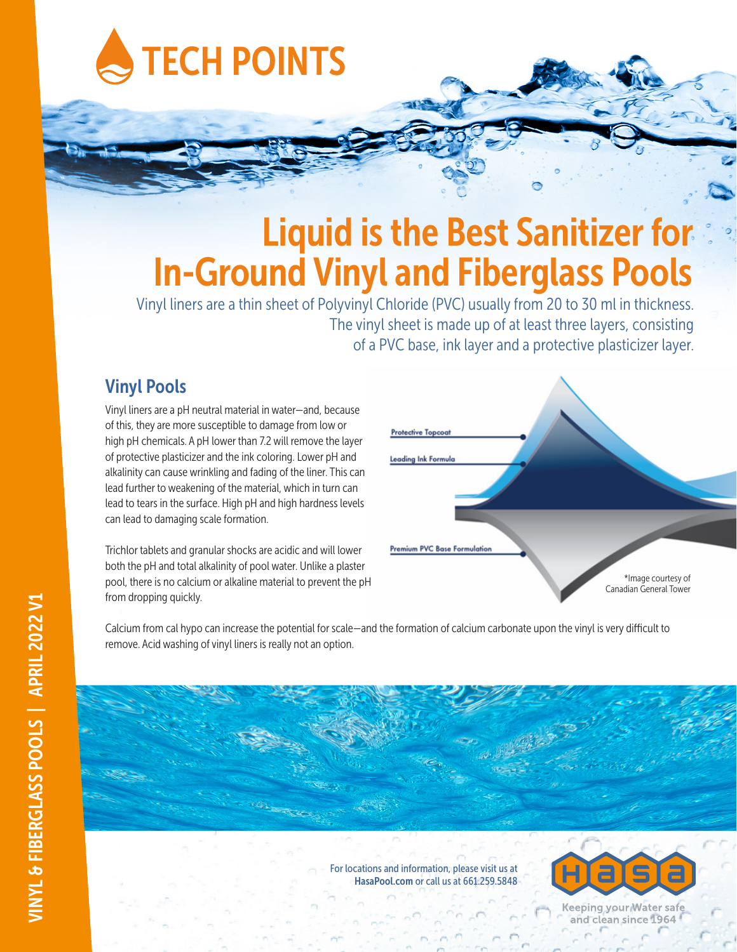

## Liquid is the Best Sanitizer for In-Ground Vinyl and Fiberglass Pools

Vinyl liners are a thin sheet of Polyvinyl Chloride (PVC) usually from 20 to 30 ml in thickness. The vinyl sheet is made up of at least three layers, consisting of a PVC base, ink layer and a protective plasticizer layer.

## Vinyl Pools

Vinyl liners are a pH neutral material in water—and, because of this, they are more susceptible to damage from low or high pH chemicals. A pH lower than 7.2 will remove the layer of protective plasticizer and the ink coloring. Lower pH and alkalinity can cause wrinkling and fading of the liner. This can lead further to weakening of the material, which in turn can lead to tears in the surface. High pH and high hardness levels can lead to damaging scale formation.

Trichlor tablets and granular shocks are acidic and will lower both the pH and total alkalinity of pool water. Unlike a plaster pool, there is no calcium or alkaline material to prevent the pH from dropping quickly.



Calcium from cal hypo can increase the potential for scale—and the formation of calcium carbonate upon the vinyl is very difficult to remove. Acid washing of vinyl liners is really not an option.

> For locations and information, please visit us at HasaPool.com or call us at 661.259.5848